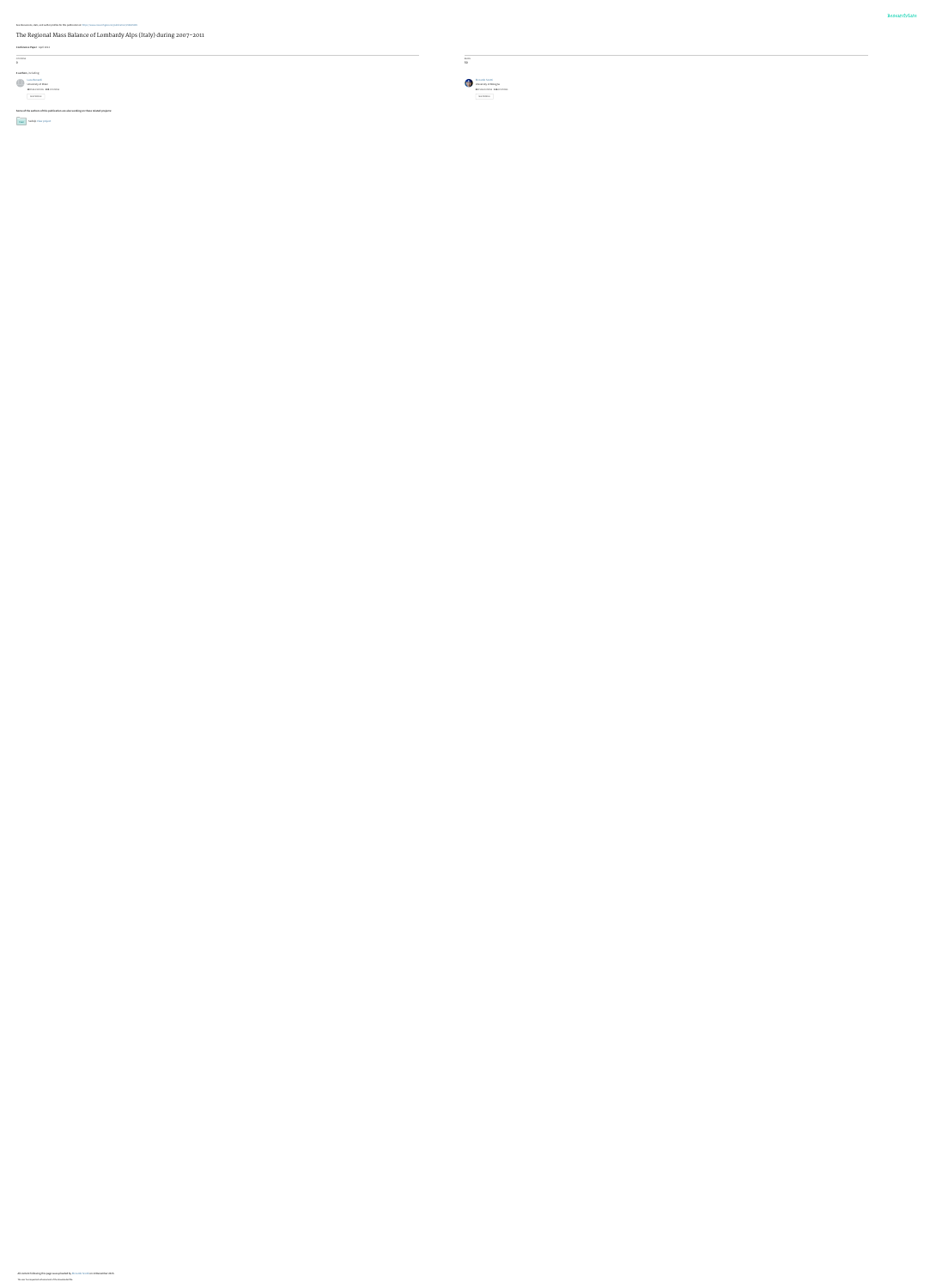### [The Regional Mass Balance of Lombardy Alps \(Italy\) during 2007-2011](https://www.researchgate.net/publication/258625385_The_Regional_Mass_Balance_of_Lombardy_Alps_Italy_during_2007-2011?enrichId=rgreq-b4734448fe38e4ffa32662d092d916d3-XXX&enrichSource=Y292ZXJQYWdlOzI1ODYyNTM4NTtBUzozMDUwMzM3MzA1NjAwMDBAMTQ0OTczNzExNjIzOQ%3D%3D&el=1_x_3&_esc=publicationCoverPdf)

**Conference Paper** · April 2012

#### **Some of the authors of this publication are also working on these related projects:**

**SedAlp [View project](https://www.researchgate.net/project/SedAlp?enrichId=rgreq-b4734448fe38e4ffa32662d092d916d3-XXX&enrichSource=Y292ZXJQYWdlOzI1ODYyNTM4NTtBUzozMDUwMzM3MzA1NjAwMDBAMTQ0OTczNzExNjIzOQ%3D%3D&el=1_x_9&_esc=publicationCoverPdf)** 

| <b>CITATIONS</b>                                                                    | <b>READS</b>                                            |  |  |
|-------------------------------------------------------------------------------------|---------------------------------------------------------|--|--|
|                                                                                     |                                                         |  |  |
|                                                                                     |                                                         |  |  |
| 4 authors, including:                                                               |                                                         |  |  |
|                                                                                     |                                                         |  |  |
|                                                                                     |                                                         |  |  |
|                                                                                     | 42 PUBLICATIONS 116 CITATIONS                           |  |  |
|                                                                                     |                                                         |  |  |
|                                                                                     |                                                         |  |  |
|                                                                                     |                                                         |  |  |
| Luca Bonardi<br>University of Milan<br>18 PUBLICATIONS 104 CITATIONS<br>SEE PROFILE | Riccardo Scotti<br>University of Bologna<br>SEE PROFILE |  |  |

#### All content following this page was uploaded by [Riccardo Scotti](https://www.researchgate.net/profile/Riccardo_Scotti2?enrichId=rgreq-b4734448fe38e4ffa32662d092d916d3-XXX&enrichSource=Y292ZXJQYWdlOzI1ODYyNTM4NTtBUzozMDUwMzM3MzA1NjAwMDBAMTQ0OTczNzExNjIzOQ%3D%3D&el=1_x_10&_esc=publicationCoverPdf) on 10 December 2015.

The user has requested enhancement of the downloaded file.